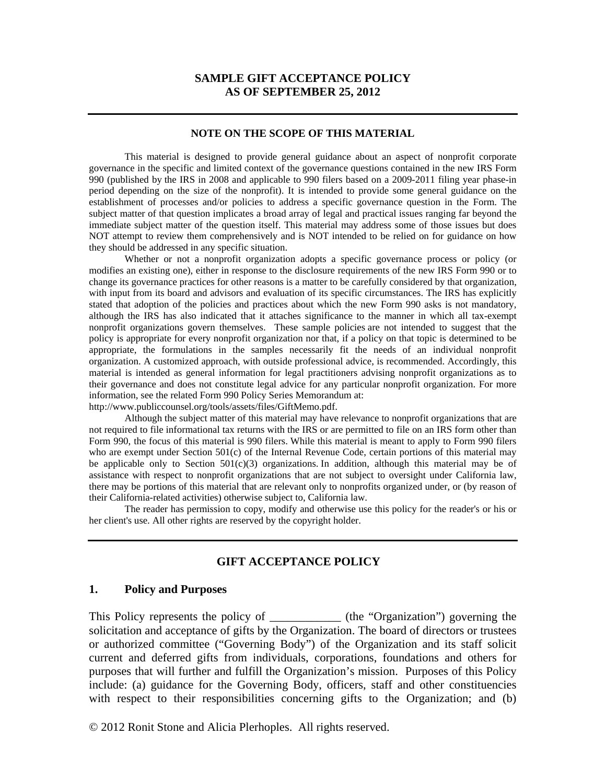#### **SAMPLE GIFT ACCEPTANCE POLICY AS OF SEPTEMBER 25, 2012**

#### **NOTE ON THE SCOPE OF THIS MATERIAL**

This material is designed to provide general guidance about an aspect of nonprofit corporate governance in the specific and limited context of the governance questions contained in the new IRS Form 990 (published by the IRS in 2008 and applicable to 990 filers based on a 2009-2011 filing year phase-in period depending on the size of the nonprofit). It is intended to provide some general guidance on the establishment of processes and/or policies to address a specific governance question in the Form. The subject matter of that question implicates a broad array of legal and practical issues ranging far beyond the immediate subject matter of the question itself. This material may address some of those issues but does NOT attempt to review them comprehensively and is NOT intended to be relied on for guidance on how they should be addressed in any specific situation.

Whether or not a nonprofit organization adopts a specific governance process or policy (or modifies an existing one), either in response to the disclosure requirements of the new IRS Form 990 or to change its governance practices for other reasons is a matter to be carefully considered by that organization, with input from its board and advisors and evaluation of its specific circumstances. The IRS has explicitly stated that adoption of the policies and practices about which the new Form 990 asks is not mandatory, although the IRS has also indicated that it attaches significance to the manner in which all tax-exempt nonprofit organizations govern themselves. These sample policies are not intended to suggest that the policy is appropriate for every nonprofit organization nor that, if a policy on that topic is determined to be appropriate, the formulations in the samples necessarily fit the needs of an individual nonprofit organization. A customized approach, with outside professional advice, is recommended. Accordingly, this material is intended as general information for legal practitioners advising nonprofit organizations as to their governance and does not constitute legal advice for any particular nonprofit organization. For more information, see the related Form 990 Policy Series Memorandum at:

http://www.publiccounsel.org/tools/assets/files/GiftMemo.pdf.

Although the subject matter of this material may have relevance to nonprofit organizations that are not required to file informational tax returns with the IRS or are permitted to file on an IRS form other than Form 990, the focus of this material is 990 filers. While this material is meant to apply to Form 990 filers who are exempt under Section 501(c) of the Internal Revenue Code, certain portions of this material may be applicable only to Section  $501(c)(3)$  organizations. In addition, although this material may be of assistance with respect to nonprofit organizations that are not subject to oversight under California law, there may be portions of this material that are relevant only to nonprofits organized under, or (by reason of their California-related activities) otherwise subject to, California law.

The reader has permission to copy, modify and otherwise use this policy for the reader's or his or her client's use. All other rights are reserved by the copyright holder.

#### **GIFT ACCEPTANCE POLICY**

#### **1. Policy and Purposes**

This Policy represents the policy of \_\_\_\_\_\_\_\_\_\_\_\_\_\_ (the "Organization") governing the solicitation and acceptance of gifts by the Organization. The board of directors or trustees or authorized committee ("Governing Body") of the Organization and its staff solicit current and deferred gifts from individuals, corporations, foundations and others for purposes that will further and fulfill the Organization's mission. Purposes of this Policy include: (a) guidance for the Governing Body, officers, staff and other constituencies with respect to their responsibilities concerning gifts to the Organization; and (b)

© 2012 Ronit Stone and Alicia Plerhoples. All rights reserved.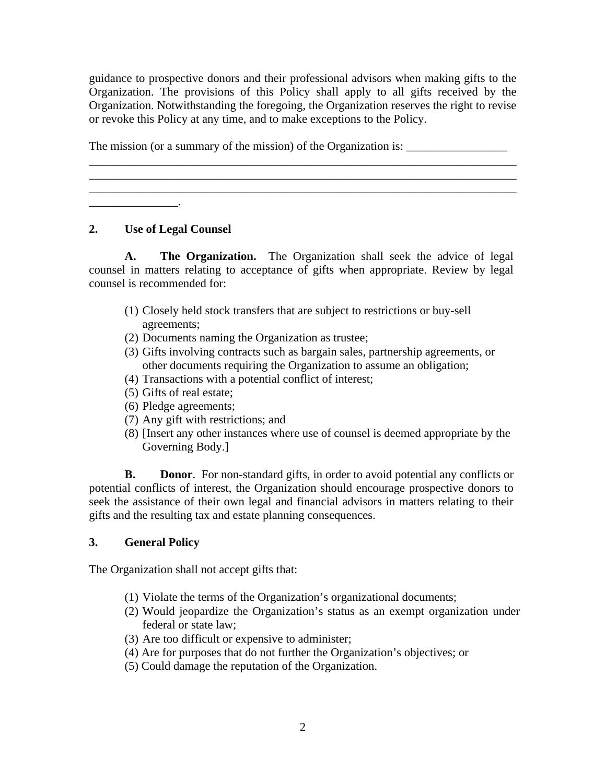guidance to prospective donors and their professional advisors when making gifts to the Organization. The provisions of this Policy shall apply to all gifts received by the Organization. Notwithstanding the foregoing, the Organization reserves the right to revise or revoke this Policy at any time, and to make exceptions to the Policy.

\_\_\_\_\_\_\_\_\_\_\_\_\_\_\_\_\_\_\_\_\_\_\_\_\_\_\_\_\_\_\_\_\_\_\_\_\_\_\_\_\_\_\_\_\_\_\_\_\_\_\_\_\_\_\_\_\_\_\_\_\_\_\_\_\_\_\_\_\_\_\_\_ \_\_\_\_\_\_\_\_\_\_\_\_\_\_\_\_\_\_\_\_\_\_\_\_\_\_\_\_\_\_\_\_\_\_\_\_\_\_\_\_\_\_\_\_\_\_\_\_\_\_\_\_\_\_\_\_\_\_\_\_\_\_\_\_\_\_\_\_\_\_\_\_ \_\_\_\_\_\_\_\_\_\_\_\_\_\_\_\_\_\_\_\_\_\_\_\_\_\_\_\_\_\_\_\_\_\_\_\_\_\_\_\_\_\_\_\_\_\_\_\_\_\_\_\_\_\_\_\_\_\_\_\_\_\_\_\_\_\_\_\_\_\_\_\_

The mission (or a summary of the mission) of the Organization is: \_\_\_\_\_\_\_\_\_\_\_\_\_\_\_

## **2. Use of Legal Counsel**

 $\frac{1}{2}$  ,  $\frac{1}{2}$  ,  $\frac{1}{2}$  ,  $\frac{1}{2}$ 

 **A. The Organization.** The Organization shall seek the advice of legal counsel in matters relating to acceptance of gifts when appropriate. Review by legal counsel is recommended for:

- (1) Closely held stock transfers that are subject to restrictions or buy-sell agreements;
- (2) Documents naming the Organization as trustee;
- (3) Gifts involving contracts such as bargain sales, partnership agreements, or other documents requiring the Organization to assume an obligation;
- (4) Transactions with a potential conflict of interest;
- (5) Gifts of real estate;
- (6) Pledge agreements;
- (7) Any gift with restrictions; and
- (8) [Insert any other instances where use of counsel is deemed appropriate by the Governing Body.]

**B.** Donor. For non-standard gifts, in order to avoid potential any conflicts or potential conflicts of interest, the Organization should encourage prospective donors to seek the assistance of their own legal and financial advisors in matters relating to their gifts and the resulting tax and estate planning consequences.

# **3. General Policy**

The Organization shall not accept gifts that:

- (1) Violate the terms of the Organization's organizational documents;
- (2) Would jeopardize the Organization's status as an exempt organization under federal or state law;
- (3) Are too difficult or expensive to administer;
- (4) Are for purposes that do not further the Organization's objectives; or
- (5) Could damage the reputation of the Organization.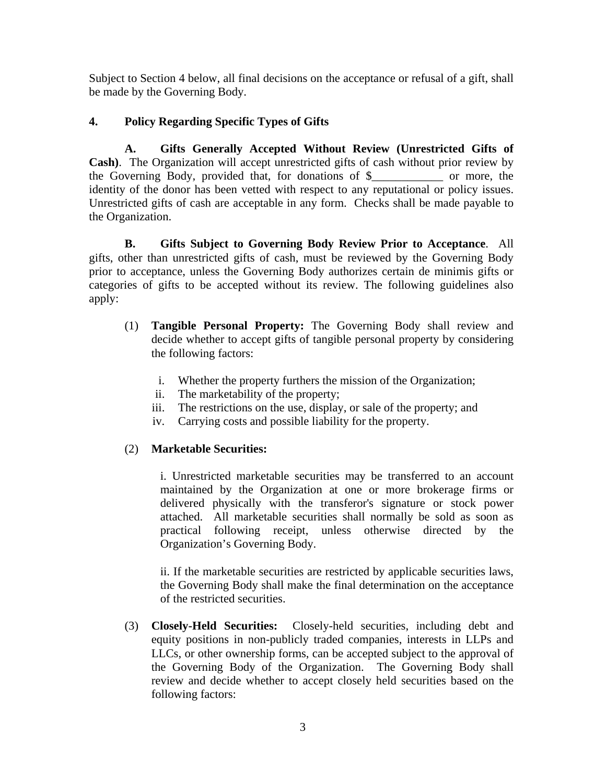Subject to Section 4 below, all final decisions on the acceptance or refusal of a gift, shall be made by the Governing Body.

## **4. Policy Regarding Specific Types of Gifts**

**A. Gifts Generally Accepted Without Review (Unrestricted Gifts of Cash)**. The Organization will accept unrestricted gifts of cash without prior review by the Governing Body, provided that, for donations of \$\_\_\_\_\_\_\_\_\_\_\_\_ or more, the identity of the donor has been vetted with respect to any reputational or policy issues. Unrestricted gifts of cash are acceptable in any form.Checks shall be made payable to the Organization.

**B. Gifts Subject to Governing Body Review Prior to Acceptance**.All gifts, other than unrestricted gifts of cash, must be reviewed by the Governing Body prior to acceptance, unless the Governing Body authorizes certain de minimis gifts or categories of gifts to be accepted without its review. The following guidelines also apply:

- (1) **Tangible Personal Property:** The Governing Body shall review and decide whether to accept gifts of tangible personal property by considering the following factors:
	- i. Whether the property furthers the mission of the Organization;
	- ii. The marketability of the property;
	- iii. The restrictions on the use, display, or sale of the property; and
	- iv. Carrying costs and possible liability for the property.

## (2) **Marketable Securities:**

i. Unrestricted marketable securities may be transferred to an account maintained by the Organization at one or more brokerage firms or delivered physically with the transferor's signature or stock power attached. All marketable securities shall normally be sold as soon as practical following receipt, unless otherwise directed by the Organization's Governing Body.

ii. If the marketable securities are restricted by applicable securities laws, the Governing Body shall make the final determination on the acceptance of the restricted securities.

(3) **Closely-Held Securities:** Closely-held securities, including debt and equity positions in non-publicly traded companies, interests in LLPs and LLCs, or other ownership forms, can be accepted subject to the approval of the Governing Body of the Organization. The Governing Body shall review and decide whether to accept closely held securities based on the following factors: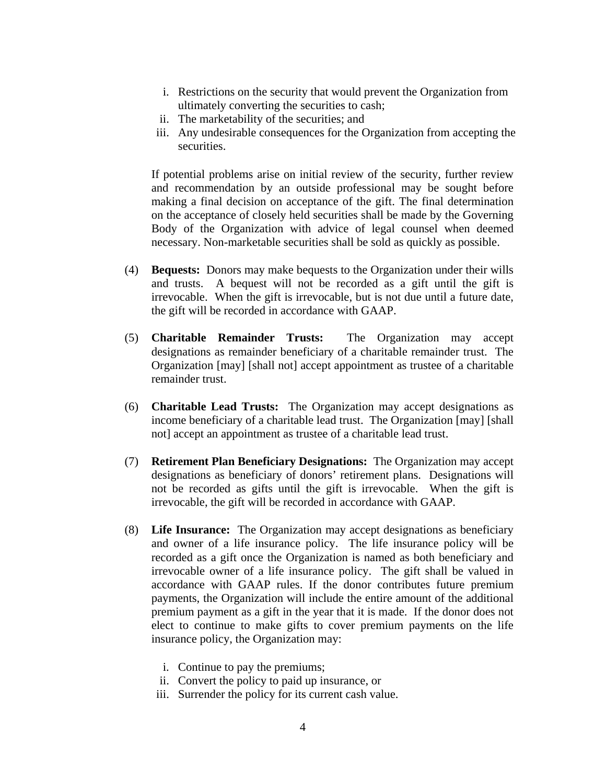- i. Restrictions on the security that would prevent the Organization from ultimately converting the securities to cash;
- ii. The marketability of the securities; and
- iii. Any undesirable consequences for the Organization from accepting the securities.

If potential problems arise on initial review of the security, further review and recommendation by an outside professional may be sought before making a final decision on acceptance of the gift. The final determination on the acceptance of closely held securities shall be made by the Governing Body of the Organization with advice of legal counsel when deemed necessary. Non-marketable securities shall be sold as quickly as possible.

- (4) **Bequests:** Donors may make bequests to the Organization under their wills and trusts. A bequest will not be recorded as a gift until the gift is irrevocable. When the gift is irrevocable, but is not due until a future date, the gift will be recorded in accordance with GAAP.
- (5) **Charitable Remainder Trusts:** The Organization may accept designations as remainder beneficiary of a charitable remainder trust. The Organization [may] [shall not] accept appointment as trustee of a charitable remainder trust.
- (6) **Charitable Lead Trusts:** The Organization may accept designations as income beneficiary of a charitable lead trust. The Organization [may] [shall not] accept an appointment as trustee of a charitable lead trust.
- (7) **Retirement Plan Beneficiary Designations:** The Organization may accept designations as beneficiary of donors' retirement plans. Designations will not be recorded as gifts until the gift is irrevocable. When the gift is irrevocable, the gift will be recorded in accordance with GAAP.
- (8) **Life Insurance:** The Organization may accept designations as beneficiary and owner of a life insurance policy. The life insurance policy will be recorded as a gift once the Organization is named as both beneficiary and irrevocable owner of a life insurance policy. The gift shall be valued in accordance with GAAP rules. If the donor contributes future premium payments, the Organization will include the entire amount of the additional premium payment as a gift in the year that it is made. If the donor does not elect to continue to make gifts to cover premium payments on the life insurance policy, the Organization may:
	- i. Continue to pay the premiums;
	- ii. Convert the policy to paid up insurance, or
	- iii. Surrender the policy for its current cash value.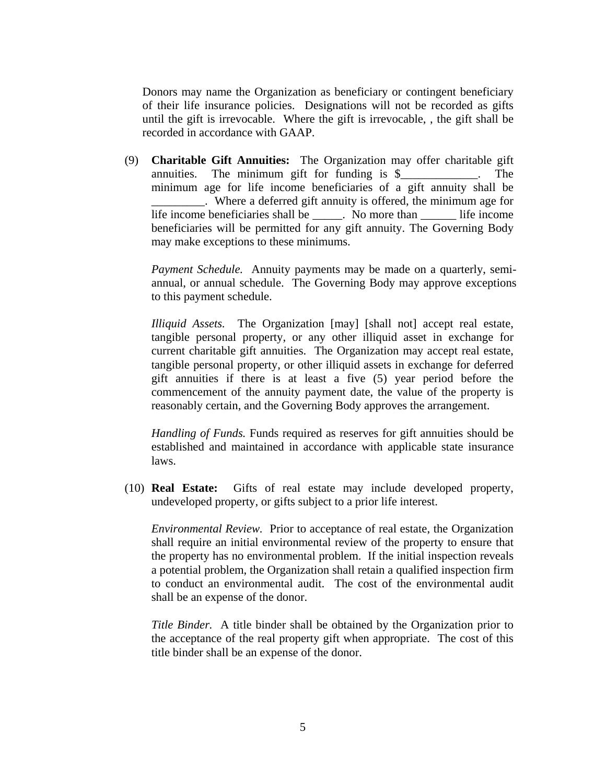Donors may name the Organization as beneficiary or contingent beneficiary of their life insurance policies. Designations will not be recorded as gifts until the gift is irrevocable. Where the gift is irrevocable, , the gift shall be recorded in accordance with GAAP.

(9) **Charitable Gift Annuities:** The Organization may offer charitable gift annuities. The minimum gift for funding is \$\_\_\_\_\_\_\_\_\_\_\_\_\_. The minimum age for life income beneficiaries of a gift annuity shall be \_\_\_\_\_\_\_\_\_. Where a deferred gift annuity is offered, the minimum age for life income beneficiaries shall be \_\_\_\_\_. No more than \_\_\_\_\_\_ life income beneficiaries will be permitted for any gift annuity. The Governing Body may make exceptions to these minimums.

*Payment Schedule.* Annuity payments may be made on a quarterly, semiannual, or annual schedule. The Governing Body may approve exceptions to this payment schedule.

*Illiquid Assets.* The Organization [may] [shall not] accept real estate, tangible personal property, or any other illiquid asset in exchange for current charitable gift annuities. The Organization may accept real estate, tangible personal property, or other illiquid assets in exchange for deferred gift annuities if there is at least a five (5) year period before the commencement of the annuity payment date, the value of the property is reasonably certain, and the Governing Body approves the arrangement.

*Handling of Funds.* Funds required as reserves for gift annuities should be established and maintained in accordance with applicable state insurance laws.

(10) **Real Estate:** Gifts of real estate may include developed property, undeveloped property, or gifts subject to a prior life interest.

*Environmental Review.* Prior to acceptance of real estate, the Organization shall require an initial environmental review of the property to ensure that the property has no environmental problem. If the initial inspection reveals a potential problem, the Organization shall retain a qualified inspection firm to conduct an environmental audit. The cost of the environmental audit shall be an expense of the donor.

*Title Binder.* A title binder shall be obtained by the Organization prior to the acceptance of the real property gift when appropriate. The cost of this title binder shall be an expense of the donor.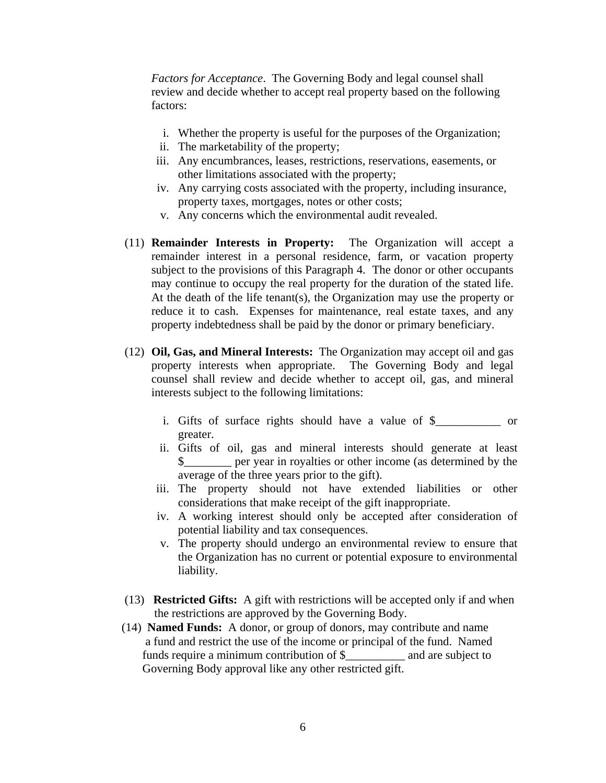*Factors for Acceptance*. The Governing Body and legal counsel shall review and decide whether to accept real property based on the following factors:

- i. Whether the property is useful for the purposes of the Organization;
- ii. The marketability of the property;
- iii. Any encumbrances, leases, restrictions, reservations, easements, or other limitations associated with the property;
- iv. Any carrying costs associated with the property, including insurance, property taxes, mortgages, notes or other costs;
- v. Any concerns which the environmental audit revealed.
- (11) **Remainder Interests in Property:** The Organization will accept a remainder interest in a personal residence, farm, or vacation property subject to the provisions of this Paragraph 4. The donor or other occupants may continue to occupy the real property for the duration of the stated life. At the death of the life tenant(s), the Organization may use the property or reduce it to cash. Expenses for maintenance, real estate taxes, and any property indebtedness shall be paid by the donor or primary beneficiary.
- (12) **Oil, Gas, and Mineral Interests:** The Organization may accept oil and gas property interests when appropriate. The Governing Body and legal counsel shall review and decide whether to accept oil, gas, and mineral interests subject to the following limitations:
	- i. Gifts of surface rights should have a value of \$\_\_\_\_\_\_\_\_\_\_\_ or greater.
	- ii. Gifts of oil, gas and mineral interests should generate at least \$\_\_\_\_\_\_\_\_ per year in royalties or other income (as determined by the average of the three years prior to the gift).
	- iii. The property should not have extended liabilities or other considerations that make receipt of the gift inappropriate.
	- iv. A working interest should only be accepted after consideration of potential liability and tax consequences.
	- v. The property should undergo an environmental review to ensure that the Organization has no current or potential exposure to environmental liability.
- (13) **Restricted Gifts:** A gift with restrictions will be accepted only if and when the restrictions are approved by the Governing Body.
- (14) **Named Funds:** A donor, or group of donors, may contribute and name a fund and restrict the use of the income or principal of the fund. Named funds require a minimum contribution of  $\frac{1}{2}$  and are subject to Governing Body approval like any other restricted gift.